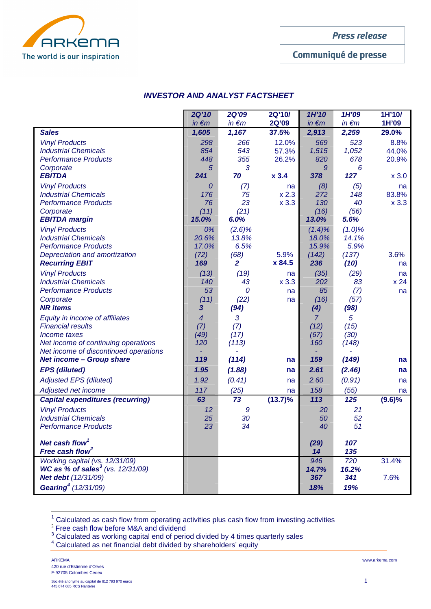

**Press release** 

Communiqué de presse

# **INVESTOR AND ANALYST FACTSHEET**

|                                                       | <b>2Q'10</b>         | <b>2Q'09</b>   | 2Q'10/      | 1H'10          | 1H'09        | 1H'10/      |
|-------------------------------------------------------|----------------------|----------------|-------------|----------------|--------------|-------------|
|                                                       | $in \in m$           | $in \in m$     | 2Q'09       | $in \in m$     | $in \in m$   | 1H'09       |
| <b>Sales</b>                                          | 1,605                | 1,167          | 37.5%       | 2,913          | 2,259        | 29.0%       |
| <b>Vinyl Products</b>                                 | 298                  | 266            | 12.0%       | 569            | 523          | 8.8%        |
| <b>Industrial Chemicals</b>                           | 854                  | 543            | 57.3%       | 1,515          | 1,052        | 44.0%       |
| <b>Performance Products</b>                           | 448                  | 355            | 26.2%       | 820            | 678          | 20.9%       |
| Corporate<br><b>EBITDA</b>                            | 5<br>241             | 3<br>70        | $x$ 3.4     | 9<br>378       | 6<br>127     | x 3.0       |
|                                                       |                      |                |             |                |              |             |
| <b>Vinyl Products</b><br><b>Industrial Chemicals</b>  | 0<br>176             | (7)<br>75      | na<br>x 2.3 | (8)<br>272     | (5)<br>148   | na<br>83.8% |
| <b>Performance Products</b>                           | 76                   | 23             | $x$ 3.3     | 130            | 40           | $x$ 3.3     |
| Corporate                                             | (11)                 | (21)           |             | (16)           | (56)         |             |
| <b>EBITDA margin</b>                                  | 15.0%                | 6.0%           |             | 13.0%          | 5.6%         |             |
| <b>Vinyl Products</b>                                 | 0%                   | $(2.6)\%$      |             | $(1.4)\%$      | $(1.0)\%$    |             |
| <b>Industrial Chemicals</b>                           | 20.6%                | 13.8%          |             | 18.0%          | 14.1%        |             |
| <b>Performance Products</b>                           | 17.0%                | 6.5%           |             | 15.9%          | 5.9%         |             |
| Depreciation and amortization                         | (72)                 | (68)           | 5.9%        | (142)          | (137)        | 3.6%        |
| <b>Recurring EBIT</b>                                 | 169                  | $\overline{2}$ | x 84.5      | 236            | (10)         | na          |
| <b>Vinyl Products</b>                                 | (13)                 | (19)           | na          | (35)           | (29)         | na          |
| <b>Industrial Chemicals</b>                           | 140                  | 43             | $x$ 3.3     | 202            | 83           | x 24        |
| <b>Performance Products</b>                           | 53                   | 0              | na          | 85             | (7)          | na          |
| Corporate<br><b>NR</b> items                          | (11)<br>$\mathbf{3}$ | (22)<br>(94)   | na          | (16)<br>(4)    | (57)<br>(98) |             |
| Equity in income of affiliates                        | $\boldsymbol{4}$     | 3              |             | $\overline{7}$ | 5            |             |
| <b>Financial results</b>                              | (7)                  | (7)            |             | (12)           | (15)         |             |
| Income taxes                                          | (49)                 | (17)           |             | (67)           | (30)         |             |
| Net income of continuing operations                   | 120                  | (113)          |             | 160            | (148)        |             |
| Net income of discontinued operations                 |                      |                |             |                |              |             |
| <b>Net income - Group share</b>                       | 119                  | (114)          | na          | 159            | (149)        | na          |
| <b>EPS</b> (diluted)                                  | 1.95                 | (1.88)         | na          | 2.61           | (2.46)       | na          |
| <b>Adjusted EPS (diluted)</b>                         | 1.92                 | (0.41)         | na          | 2.60           | (0.91)       | na          |
| Adjusted net income                                   | 117                  | (25)           | na          | 158            | (55)         | na          |
| <b>Capital expenditures (recurring)</b>               | 63                   | 73             | $(13.7)\%$  | 113            | 125          | $(9.6)\%$   |
| <b>Vinyl Products</b>                                 | 12                   | 9              |             | 20             | 21           |             |
| <b>Industrial Chemicals</b>                           | 25                   | 30             |             | 50             | 52           |             |
| <b>Performance Products</b>                           | 23                   | 34             |             | 40             | 51           |             |
| Net cash flow <sup>1</sup>                            |                      |                |             | (29)           | 107          |             |
| Free cash flow <sup>2</sup>                           |                      |                |             | 14             | 135          |             |
| Working capital (vs. 12/31/09)                        |                      |                |             | 946            | 720          | 31.4%       |
| <b>WC as % of sales<sup>3</sup></b> (vs. $12/31/09$ ) |                      |                |             | 14.7%          | 16.2%        |             |
| Net debt (12/31/09)                                   |                      |                |             | 367            | 341          | 7.6%        |
| Gearing <sup>4</sup> (12/31/09)                       |                      |                |             | 18%            | 19%          |             |

 $1$  Calculated as cash flow from operating activities plus cash flow from investing activities

 $2^2$  Free cash flow before M&A and dividend<br>  $3^3$  Calculated as working capital end of period divided by 4 times quarterly sales

4 Calculated as net financial debt divided by shareholders' equity

 $\overline{a}$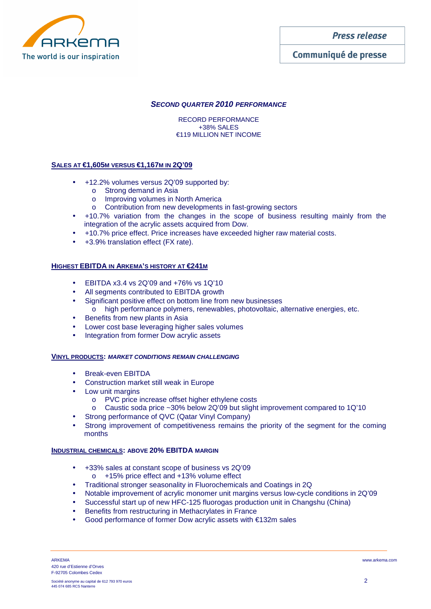The world is our inspiration

**Press release** 

Communiqué de presse

## **SECOND QUARTER 2010 PERFORMANCE**

RECORD PERFORMANCE +38% SALES €119 MILLION NET INCOME

## **SALES AT €1,605M VERSUS €1,167M IN 2Q'09**

- +12.2% volumes versus 2Q'09 supported by:
	- o Strong demand in Asia
	- o Improving volumes in North America
	- o Contribution from new developments in fast-growing sectors
- +10.7% variation from the changes in the scope of business resulting mainly from the integration of the acrylic assets acquired from Dow.
- +10.7% price effect. Price increases have exceeded higher raw material costs.
- +3.9% translation effect (FX rate).

### **HIGHEST EBITDA IN ARKEMA'S HISTORY AT €241M**

- EBITDA x3.4 vs 2Q'09 and +76% vs 1Q'10
- All segments contributed to EBITDA growth
- Significant positive effect on bottom line from new businesses o high performance polymers, renewables, photovoltaic, alternative energies, etc.
- Benefits from new plants in Asia
- Lower cost base leveraging higher sales volumes
- Integration from former Dow acrylic assets

### **VINYL PRODUCTS: MARKET CONDITIONS REMAIN CHALLENGING**

- Break-even EBITDA
- Construction market still weak in Europe
- Low unit margins
	- o PVC price increase offset higher ethylene costs
	- o Caustic soda price ~30% below 2Q'09 but slight improvement compared to 1Q'10
- Strong performance of QVC (Qatar Vinyl Company)
- Strong improvement of competitiveness remains the priority of the segment for the coming months

### **INDUSTRIAL CHEMICALS: ABOVE 20% EBITDA MARGIN**

- +33% sales at constant scope of business vs 2Q'09 o +15% price effect and +13% volume effect
- Traditional stronger seasonality in Fluorochemicals and Coatings in 2Q
- Notable improvement of acrylic monomer unit margins versus low-cycle conditions in 2Q'09
- Successful start up of new HFC-125 fluorogas production unit in Changshu (China)
- Benefits from restructuring in Methacrylates in France
- Good performance of former Dow acrylic assets with €132m sales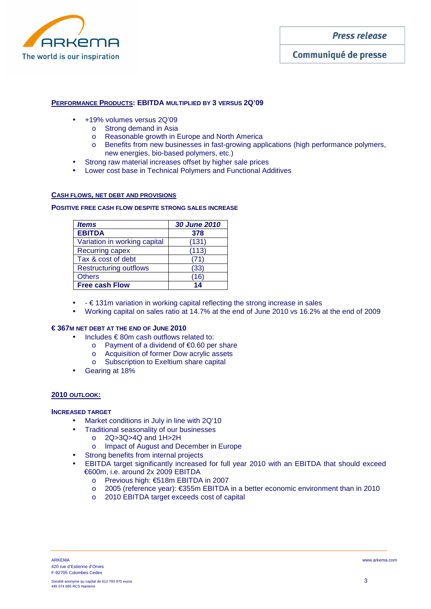

**Press release** 

### **PERFORMANCE PRODUCTS: EBITDA MULTIPLIED BY 3 VERSUS 2Q'09**

- +19% volumes versus 2Q'09
	- o Strong demand in Asia
	- o Reasonable growth in Europe and North America
	- o Benefits from new businesses in fast-growing applications (high performance polymers, new energies, bio-based polymers, etc.)
- Strong raw material increases offset by higher sale prices
- Lower cost base in Technical Polymers and Functional Additives

### **CASH FLOWS, NET DEBT AND PROVISIONS**

#### **POSITIVE FREE CASH FLOW DESPITE STRONG SALES INCREASE**

| <b>Items</b>                  | <b>30 June 2010</b> |  |  |
|-------------------------------|---------------------|--|--|
| <b>EBITDA</b>                 | 378                 |  |  |
| Variation in working capital  | (131)               |  |  |
| <b>Recurring capex</b>        | (113)               |  |  |
| Tax & cost of debt            | (71                 |  |  |
| <b>Restructuring outflows</b> | (33)                |  |  |
| <b>Others</b>                 | (16)                |  |  |
| <b>Free cash Flow</b>         | 14                  |  |  |

- $\bullet$   $\cdot \in 131$ m variation in working capital reflecting the strong increase in sales
- Working capital on sales ratio at 14.7% at the end of June 2010 vs 16.2% at the end of 2009

# **€ 367M NET DEBT AT THE END OF JUNE 2010**

- Includes  $\epsilon$  80m cash outflows related to:
	- o Payment of a dividend of €0.60 per share
	- o Acquisition of former Dow acrylic assets
	- o Subscription to Exeltium share capital
- Gearing at 18%

### **2010 OUTLOOK:**

### **INCREASED TARGET**

- Market conditions in July in line with 2Q'10
- Traditional seasonality of our businesses
	- o 2Q>3Q>4Q and 1H>2H
	- o Impact of August and December in Europe
- Strong benefits from internal projects
- EBITDA target significantly increased for full year 2010 with an EBITDA that should exceed €600m, i.e. around 2x 2009 EBITDA
	- o Previous high: €518m EBITDA in 2007
	- o 2005 (reference year): €355m EBITDA in a better economic environment than in 2010
	- o 2010 EBITDA target exceeds cost of capital